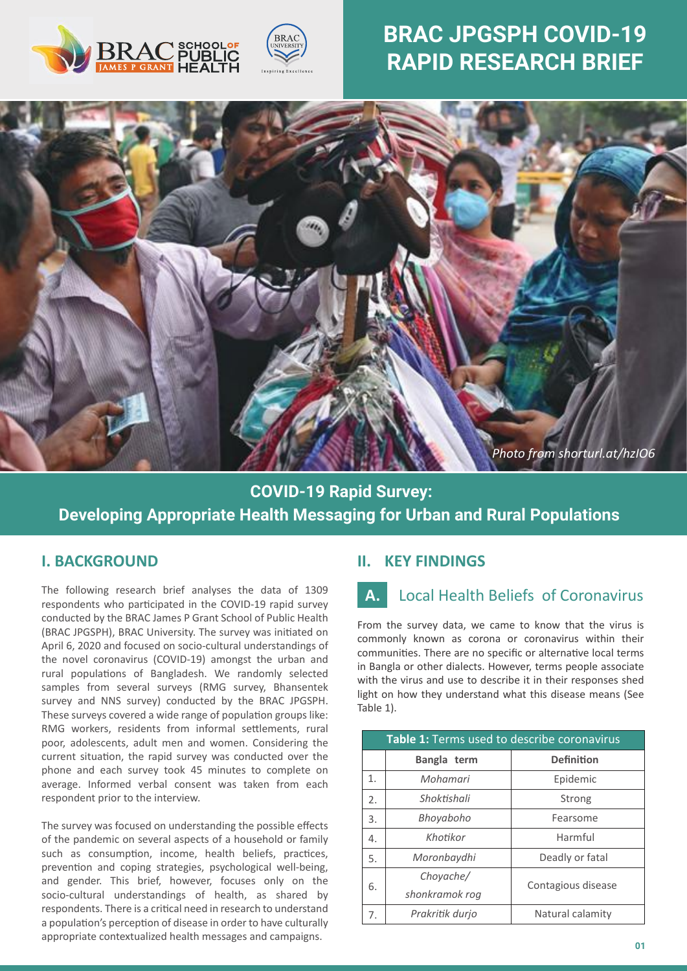



# **BRAC JPGSPH COVID-19 RAPID RESEARCH BRIEF**



# **COVID-19 Rapid Survey: Developing Appropriate Health Messaging for Urban and Rural Populations**

i,

#### **I. BACKGROUND**

The following research brief analyses the data of 1309 respondents who par�cipated in the COVID-19 rapid survey conducted by the BRAC James P Grant School of Public Health (BRAC JPGSPH), BRAC University. The survey was initiated on April 6, 2020 and focused on socio-cultural understandings of the novel coronavirus (COVID-19) amongst the urban and rural populations of Bangladesh. We randomly selected samples from several surveys (RMG survey, Bhansentek survey and NNS survey) conducted by the BRAC JPGSPH. These surveys covered a wide range of population groups like: RMG workers, residents from informal settlements, rural poor, adolescents, adult men and women. Considering the current situation, the rapid survey was conducted over the phone and each survey took 45 minutes to complete on average. Informed verbal consent was taken from each respondent prior to the interview.

The survey was focused on understanding the possible effects of the pandemic on several aspects of a household or family such as consumption, income, health beliefs, practices, prevention and coping strategies, psychological well-being, and gender. This brief, however, focuses only on the socio-cultural understandings of health, as shared by respondents. There is a critical need in research to understand a population's perception of disease in order to have culturally appropriate contextualized health messages and campaigns.

### **II. KEY FINDINGS**

# **A.** Local Health Beliefs of Coronavirus

From the survey data, we came to know that the virus is commonly known as corona or coronavirus within their communities. There are no specific or alternative local terms in Bangla or other dialects. However, terms people associate with the virus and use to describe it in their responses shed light on how they understand what this disease means (See Table 1).

| Table 1: Terms used to describe coronavirus |                 |                    |
|---------------------------------------------|-----------------|--------------------|
|                                             | Bangla term     | <b>Definition</b>  |
| 1.                                          | Mohamari        | Epidemic           |
| 2.                                          | Shoktishali     | Strong             |
| 3.                                          | Bhoyaboho       | Fearsome           |
| 4.                                          | Khotikor        | Harmful            |
| 5.                                          | Moronbaydhi     | Deadly or fatal    |
| 6.                                          | Chovache/       | Contagious disease |
|                                             | shonkramok rog  |                    |
| 7.                                          | Prakritik durjo | Natural calamity   |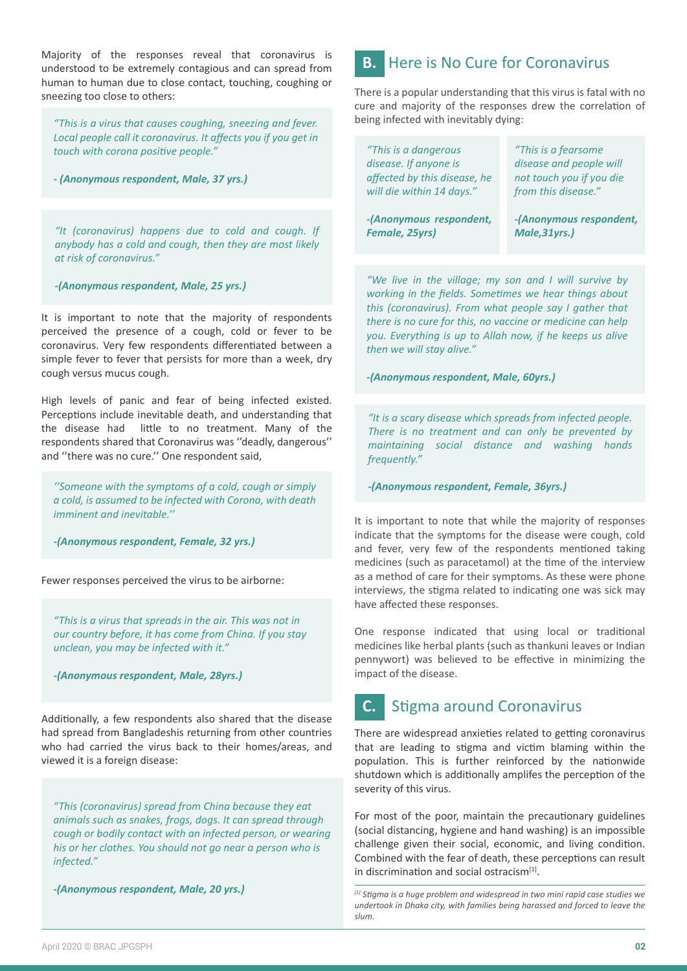Majority of the responses reveal that coronavirus is understood to be extremely contagious and can spread from human to human due to close contact, touching, coughing or sneezing too close to others:

*"This is a virus that causes coughing, sneezing and fever. Local people call it coronavirus. It affects you if you get in touch with corona positive people."* 

*- (Anonymous respondent, Male, 37 yrs.)*

*"It (coronavirus) happens due to cold and cough. If anybody has a cold and cough, then they are most likely at risk of coronavirus."*

*-(Anonymous respondent, Male, 25 yrs.)*

It is important to note that the majority of respondents perceived the presence of a cough, cold or fever to be coronavirus. Very few respondents differentiated between a simple fever to fever that persists for more than a week, dry cough versus mucus cough.

High levels of panic and fear of being infected existed. Perceptions include inevitable death, and understanding that the disease had little to no treatment. Many of the respondents shared that Coronavirus was ''deadly, dangerous'' and ''there was no cure.'' One respondent said,

*''Someone with the symptoms of a cold, cough or simply -(Anonymous respondent, Female, 36yrs.) a cold, is assumed to be infected with Corona, with death imminent and inevitable.''*

*-(Anonymous respondent, Female, 32 yrs.)*

Fewer responses perceived the virus to be airborne:

*"This is a virus that spreads in the air. This was not in our country before, it has come from China. If you stay unclean, you may be infected with it."*

*-(Anonymous respondent, Male, 28yrs.)*

Additionally, a few respondents also shared that the disease had spread from Bangladeshis returning from other countries who had carried the virus back to their homes/areas, and viewed it is a foreign disease:

*"This (coronavirus) spread from China because they eat animals such as snakes, frogs, dogs. It can spread through cough or bodily contact with an infected person, or wearing his or her clothes. You should not go near a person who is infected."*

*-(Anonymous respondent, Male, 20 yrs.)*

# **B.** Here is No Cure for Coronavirus

There is a popular understanding that this virus is fatal with no cure and majority of the responses drew the correlation of being infected with inevitably dying:

| "This is a dangerous         | "This is a fearsome      |
|------------------------------|--------------------------|
| disease. If anyone is        | disease and people will  |
| affected by this disease, he | not touch you if you die |
| will die within 14 days."    | from this disease."      |
| -(Anonymous respondent,      | -(Anonymous respondent,  |
| Female, 25yrs)               | Male, 31yrs.)            |

*"We live in the village; my son and I will survive by working in the fields. Sometimes we hear things about this (coronavirus). From what people say I gather that there is no cure for this, no vaccine or medicine can help you. Everything is up to Allah now, if he keeps us alive then we will stay alive."*

*-(Anonymous respondent, Male, 60yrs.)*

*"It is a scary disease which spreads from infected people. There is no treatment and can only be prevented by maintaining social distance and washing hands frequently."*

It is important to note that while the majority of responses indicate that the symptoms for the disease were cough, cold and fever, very few of the respondents mentioned taking medicines (such as paracetamol) at the time of the interview as a method of care for their symptoms. As these were phone interviews, the stigma related to indicating one was sick may have affected these responses.

One response indicated that using local or traditional medicines like herbal plants (such as thankuni leaves or Indian pennywort) was believed to be effective in minimizing the impact of the disease.

#### **C.** Stigma around Coronavirus

There are widespread anxieties related to getting coronavirus that are leading to stigma and victim blaming within the population. This is further reinforced by the nationwide shutdown which is additionally amplifes the perception of the severity of this virus.

For most of the poor, maintain the precautionary guidelines (social distancing, hygiene and hand washing) is an impossible challenge given their social, economic, and living condition. Combined with the fear of death, these perceptions can result in discrimination and social ostracism<sup>[1]</sup>.

*<sup>[1]</sup> Stigma is a huge problem and widespread in two mini rapid case studies we undertook in Dhaka city, with families being harassed and forced to leave the slum.*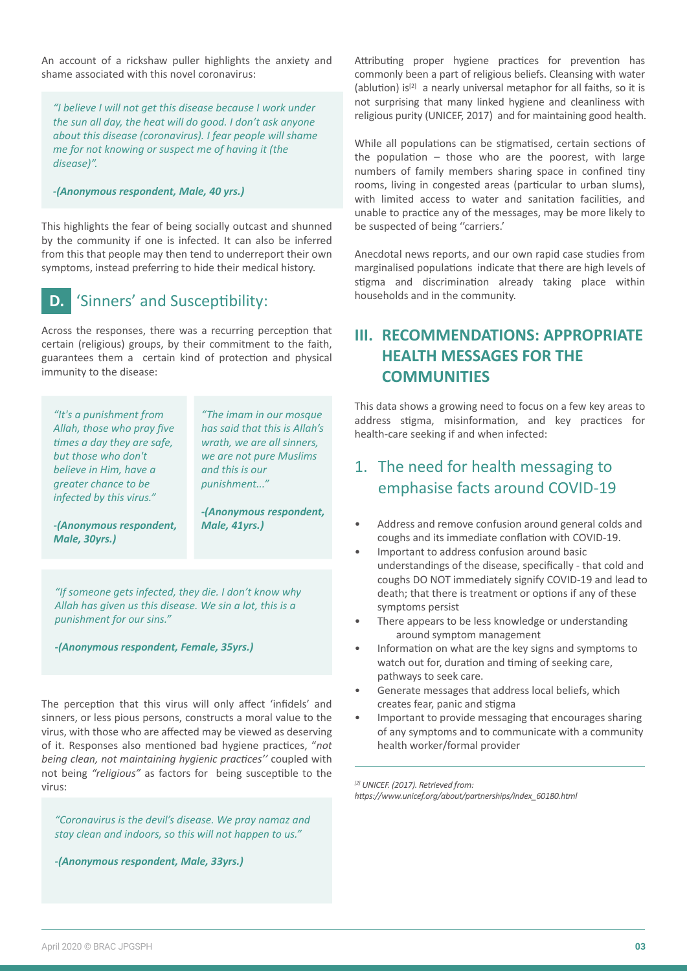An account of a rickshaw puller highlights the anxiety and shame associated with this novel coronavirus:

*"I believe I will not get this disease because I work under the sun all day, the heat will do good. I don't ask anyone about this disease (coronavirus). I fear people will shame me for not knowing or suspect me of having it (the disease)".*

*-(Anonymous respondent, Male, 40 yrs.)*

This highlights the fear of being socially outcast and shunned by the community if one is infected. It can also be inferred from this that people may then tend to underreport their own symptoms, instead preferring to hide their medical history.

### **D.** 'Sinners' and Susceptibility:

Across the responses, there was a recurring perception that certain (religious) groups, by their commitment to the faith, guarantees them a certain kind of protection and physical immunity to the disease:

*"It's a punishment from Allah, those who pray five times a day they are safe, but those who don't believe in Him, have a greater chance to be infected by this virus."* 

*"The imam in our mosque has said that this is Allah's wrath, we are all sinners, we are not pure Muslims and this is our punishment..."* 

*-(Anonymous respondent,* 

*Male, 41yrs.)*

*-(Anonymous respondent, Male, 30yrs.)*

*"If someone gets infected, they die. I don't know why Allah has given us this disease. We sin a lot, this is a punishment for our sins."*

*-(Anonymous respondent, Female, 35yrs.)*

The perception that this virus will only affect 'infidels' and sinners, or less pious persons, constructs a moral value to the virus, with those who are affected may be viewed as deserving of it. Responses also mentioned bad hygiene practices, "not *being clean, not maintaining hygienic practices''* coupled with not being "religious" as factors for being susceptible to the virus:

*"Coronavirus is the devil's disease. We pray namaz and stay clean and indoors, so this will not happen to us."* 

*-(Anonymous respondent, Male, 33yrs.)*

Attributing proper hygiene practices for prevention has commonly been a part of religious beliefs. Cleansing with water (ablution)  $is^{[2]}$  a nearly universal metaphor for all faiths, so it is not surprising that many linked hygiene and cleanliness with religious purity (UNICEF, 2017) and for maintaining good health.

While all populations can be stigmatised, certain sections of the population  $-$  those who are the poorest, with large numbers of family members sharing space in confined tiny rooms, living in congested areas (particular to urban slums), with limited access to water and sanitation facilities, and unable to prac�ce any of the messages, may be more likely to be suspected of being "carriers.'

Anecdotal news reports, and our own rapid case studies from marginalised populations indicate that there are high levels of stigma and discrimination already taking place within households and in the community.

# **III. RECOMMENDATIONS: APPROPRIATE HEALTH MESSAGES FOR THE COMMUNITIES**

This data shows a growing need to focus on a few key areas to address stigma, misinformation, and key practices for health-care seeking if and when infected:

# 1. The need for health messaging to emphasise facts around COVID-19

- Address and remove confusion around general colds and coughs and its immediate conflation with COVID-19.
- Important to address confusion around basic understandings of the disease, specifically - that cold and coughs DO NOT immediately signify COVID-19 and lead to death; that there is treatment or options if any of these symptoms persist
- There appears to be less knowledge or understanding around symptom management
- Information on what are the key signs and symptoms to watch out for, duration and timing of seeking care, pathways to seek care.
- Generate messages that address local beliefs, which creates fear, panic and stigma
- Important to provide messaging that encourages sharing of any symptoms and to communicate with a community health worker/formal provider

*[2] UNICEF. (2017). Retrieved from:* 

*https://www.unicef.org/about/partnerships/index\_60180.html*